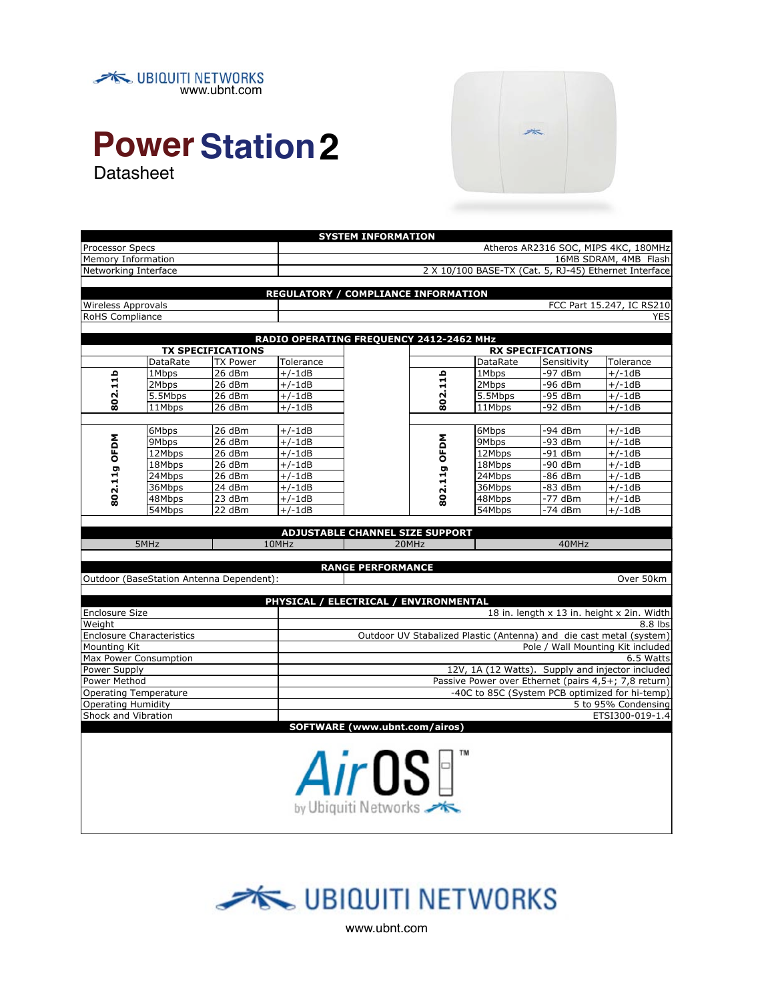



## **Power Station 2** Datasheet

| Memory Information                    |                                  |                                          |                                            | 16MB SDRAM, 4MB Flash                                 |              |          |                          |                                                                     |  |
|---------------------------------------|----------------------------------|------------------------------------------|--------------------------------------------|-------------------------------------------------------|--------------|----------|--------------------------|---------------------------------------------------------------------|--|
| Networking Interface                  |                                  |                                          |                                            | 2 X 10/100 BASE-TX (Cat. 5, RJ-45) Ethernet Interface |              |          |                          |                                                                     |  |
|                                       |                                  |                                          |                                            |                                                       |              |          |                          |                                                                     |  |
|                                       |                                  |                                          | <b>REGULATORY / COMPLIANCE INFORMATION</b> |                                                       |              |          |                          |                                                                     |  |
| <b>Wireless Approvals</b>             |                                  |                                          |                                            | FCC Part 15.247, IC RS210                             |              |          |                          |                                                                     |  |
| RoHS Compliance                       |                                  |                                          |                                            | <b>YES</b>                                            |              |          |                          |                                                                     |  |
|                                       |                                  |                                          |                                            |                                                       |              |          |                          |                                                                     |  |
|                                       |                                  |                                          | RADIO OPERATING FREQUENCY 2412-2462 MHz    |                                                       |              |          |                          |                                                                     |  |
|                                       |                                  | <b>TX SPECIFICATIONS</b>                 |                                            |                                                       |              |          | <b>RX SPECIFICATIONS</b> |                                                                     |  |
|                                       | DataRate                         | <b>TX Power</b>                          | Tolerance                                  |                                                       |              | DataRate | Sensitivity              | Tolerance                                                           |  |
|                                       | 1Mbps                            | 26 dBm                                   | $+/-1dB$                                   |                                                       | 802.11b      | 1Mbps    | -97 dBm                  | $+/-1dB$                                                            |  |
| 802.11b                               | 2Mbps                            | 26 dBm                                   | $+/-1dB$                                   |                                                       |              | 2Mbps    | -96 dBm                  | $+/-1dB$                                                            |  |
|                                       | 5.5Mbps                          | 26 dBm                                   | $+/-1dB$                                   |                                                       |              | 5.5Mbps  | -95 dBm                  | $+/-1dB$                                                            |  |
|                                       | 11Mbps                           | 26 dBm                                   | $+/-1dB$                                   |                                                       |              | 11Mbps   | -92 dBm                  | $+/-1dB$                                                            |  |
|                                       |                                  |                                          |                                            |                                                       |              |          |                          |                                                                     |  |
|                                       | 6Mbps                            | 26 dBm                                   | $+/-1dB$                                   |                                                       |              | 6Mbps    | -94 dBm                  | $+/-1dB$                                                            |  |
|                                       | 9Mbps                            | 26 dBm                                   | $+/-1dB$                                   |                                                       |              | 9Mbps    | -93 dBm                  | $+/-1dB$                                                            |  |
| 802.11g OFDM                          | 12Mbps                           | 26dBm                                    | $+/-1dB$                                   |                                                       |              | 12Mbps   | -91 dBm                  | $+/-1dB$                                                            |  |
|                                       | 18Mbps                           | 26dBm                                    | $+/-1dB$                                   |                                                       |              | 18Mbps   | $-90$ dBm                | $+/-1dB$                                                            |  |
|                                       | 24Mbps                           | 26 dBm                                   | $+/-1dB$                                   |                                                       | 802.11g OFDM | 24Mbps   | -86 dBm                  | $+/-1dB$                                                            |  |
|                                       | 36Mbps                           | 24 dBm                                   | $+/-1dB$                                   |                                                       |              | 36Mbps   | -83 dBm                  | $+/-1dB$                                                            |  |
|                                       | 48Mbps                           | 23 dBm                                   | $+/-1dB$                                   |                                                       |              | 48Mbps   | -77 dBm                  | $+/-1dB$                                                            |  |
|                                       | 54Mbps                           | 22 dBm                                   | $+/-1dB$                                   |                                                       |              | 54Mbps   | -74 dBm                  | $+/-1dB$                                                            |  |
|                                       |                                  |                                          |                                            |                                                       |              |          |                          |                                                                     |  |
|                                       |                                  |                                          |                                            | <b>ADJUSTABLE CHANNEL SIZE SUPPORT</b>                |              |          |                          |                                                                     |  |
| 5MHz                                  |                                  |                                          | 10MHz                                      |                                                       | 20MHz        |          | 40MHz                    |                                                                     |  |
|                                       |                                  |                                          |                                            |                                                       |              |          |                          |                                                                     |  |
|                                       |                                  |                                          |                                            | <b>RANGE PERFORMANCE</b>                              |              |          |                          |                                                                     |  |
|                                       |                                  | Outdoor (BaseStation Antenna Dependent): |                                            |                                                       |              |          |                          | Over 50km                                                           |  |
|                                       |                                  |                                          |                                            |                                                       |              |          |                          |                                                                     |  |
| PHYSICAL / ELECTRICAL / ENVIRONMENTAL |                                  |                                          |                                            |                                                       |              |          |                          |                                                                     |  |
|                                       |                                  |                                          |                                            |                                                       |              |          |                          |                                                                     |  |
| Enclosure Size                        |                                  |                                          |                                            |                                                       |              |          |                          | 18 in. length x 13 in. height x 2in. Width                          |  |
| Weight                                |                                  |                                          |                                            |                                                       |              |          |                          | 8.8 lbs                                                             |  |
|                                       | <b>Enclosure Characteristics</b> |                                          |                                            |                                                       |              |          |                          | Outdoor UV Stabalized Plastic (Antenna) and die cast metal (system) |  |
| Mounting Kit                          |                                  |                                          |                                            |                                                       |              |          |                          | Pole / Wall Mounting Kit included                                   |  |
|                                       | Max Power Consumption            |                                          |                                            |                                                       |              |          |                          | 6.5 Watts                                                           |  |
| Power Supply                          |                                  |                                          |                                            |                                                       |              |          |                          | 12V, 1A (12 Watts). Supply and injector included                    |  |
| Power Method                          |                                  |                                          |                                            |                                                       |              |          |                          | Passive Power over Ethernet (pairs 4,5+; 7,8 return)                |  |
|                                       | <b>Operating Temperature</b>     |                                          |                                            |                                                       |              |          |                          | -40C to 85C (System PCB optimized for hi-temp)                      |  |
| <b>Operating Humidity</b>             |                                  |                                          |                                            |                                                       |              |          |                          | 5 to 95% Condensing                                                 |  |
| Shock and Vibration                   |                                  |                                          |                                            |                                                       |              |          |                          | ETSI300-019-1.4                                                     |  |
|                                       |                                  |                                          |                                            | SOFTWARE (www.ubnt.com/airos)                         |              |          |                          |                                                                     |  |
|                                       |                                  |                                          |                                            |                                                       |              |          |                          |                                                                     |  |
|                                       |                                  |                                          |                                            |                                                       |              |          |                          |                                                                     |  |
|                                       |                                  |                                          |                                            |                                                       |              |          |                          |                                                                     |  |
|                                       |                                  |                                          |                                            |                                                       |              |          |                          |                                                                     |  |
|                                       |                                  |                                          |                                            | <i>Air</i> OS                                         |              |          |                          |                                                                     |  |
|                                       |                                  |                                          |                                            | by Ubiquiti Networks                                  |              |          |                          |                                                                     |  |

**SYSTEM INFORMATION** Processor Specs **Atheros AR2316 SOC, MIPS 4KC, 180MHz** 



www.ubnt.com